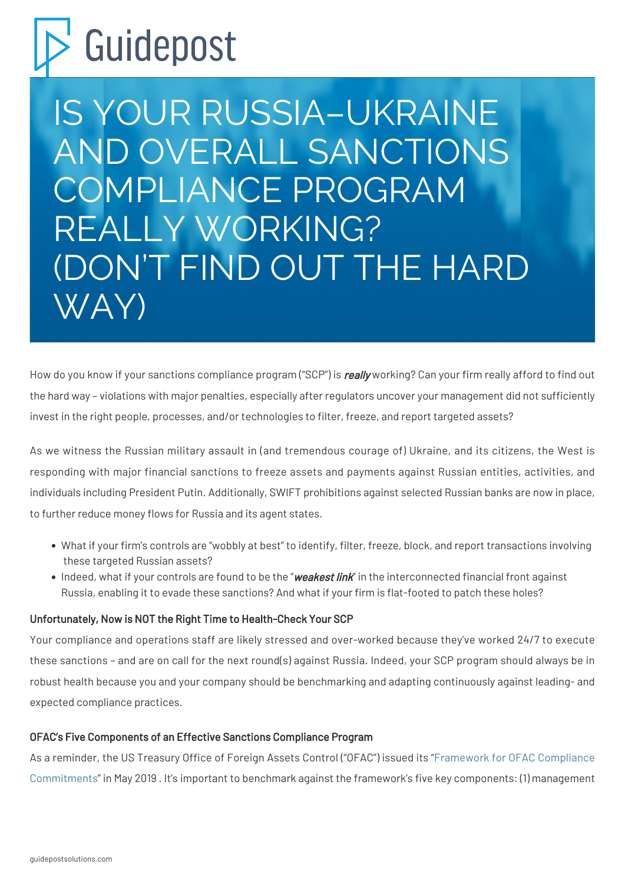# Scuidepost

IS YOUR RUSSIA–UKRAINE AND OVERALL SANCTIONS COMPLIANCE PROGRAM REALLY WORKING? (DON'T FIND OUT THE HARD WAY)

How do you know if your sanctions compliance program ("SCP") is really working? Can your firm really afford to find out the hard way – violations with major penalties, especially after regulators uncover your management did not sufficiently invest in the right people, processes, and/or technologies to filter, freeze, and report targeted assets?

As we witness the Russian military assault in (and tremendous courage of) Ukraine, and its citizens, the West is responding with major financial sanctions to freeze assets and payments against Russian entities, activities, and individuals including President Putin. Additionally, SWIFT prohibitions against selected Russian banks are now in place, to further reduce money flows for Russia and its agent states.

- What if your firm's controls are "wobbly at best" to identify, filter, freeze, block, and report transactions involving these targeted Russian assets?
- Indeed, what if your controls are found to be the "weakest link" in the interconnected financial front against Russia, enabling it to evade these sanctions? And what if your firm is flat-footed to patch these holes?

# Unfortunately, Now is NOT the Right Time to Health-Check Your SCP

Your compliance and operations staff are likely stressed and over-worked because they've worked 24/7 to execute these sanctions – and are on call for the next round(s) against Russia. Indeed, your SCP program should always be in robust health because you and your company should be benchmarking and adapting continuously against leading- and expected compliance practices.

# OFAC's Five Components of an Effective Sanctions Compliance Program

As a reminder, the US Treasury Office of Foreign Assets Control ("OFAC") issued its "[Framework for OFAC Compliance](https://home.treasury.gov/system/files/126/framework_ofac_cc.pdf) [Commitments](https://home.treasury.gov/system/files/126/framework_ofac_cc.pdf)" in May 2019 . It's important to benchmark against the framework's five key components: (1) management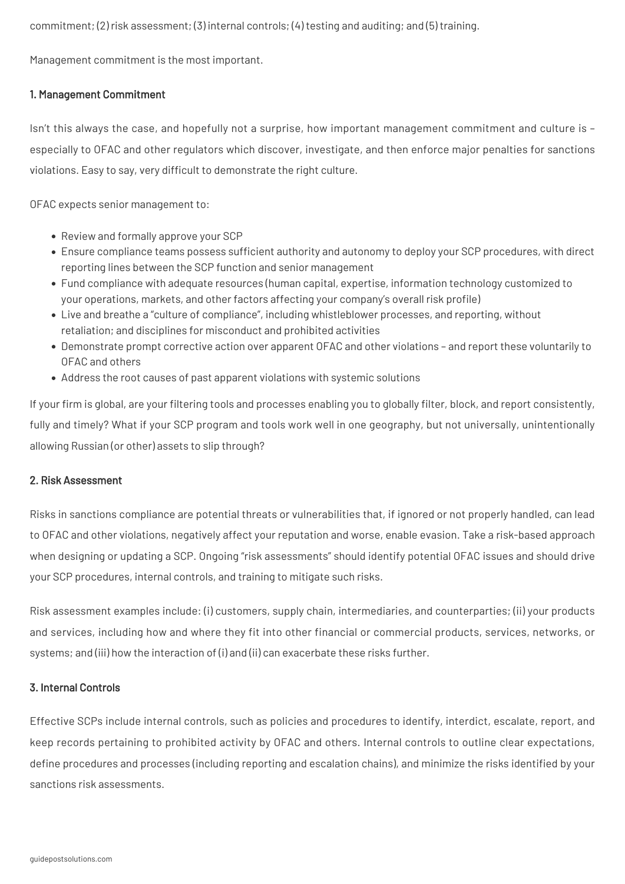commitment; (2) risk assessment; (3) internal controls; (4) testing and auditing; and (5) training.

Management commitment is the most important.

# 1. Management Commitment

Isn't this always the case, and hopefully not a surprise, how important management commitment and culture is – especially to OFAC and other regulators which discover, investigate, and then enforce major penalties for sanctions violations. Easy to say, very difficult to demonstrate the right culture.

OFAC expects senior management to:

- Review and formally approve your SCP
- Ensure compliance teams possess sufficient authority and autonomy to deploy your SCP procedures, with direct reporting lines between the SCP function and senior management
- Fund compliance with adequate resources (human capital, expertise, information technology customized to your operations, markets, and other factors affecting your company's overall risk profile)
- Live and breathe a "culture of compliance", including whistleblower processes, and reporting, without retaliation; and disciplines for misconduct and prohibited activities
- Demonstrate prompt corrective action over apparent OFAC and other violations and report these voluntarily to OFAC and others
- Address the root causes of past apparent violations with systemic solutions

If your firm is global, are your filtering tools and processes enabling you to globally filter, block, and report consistently, fully and timely? What if your SCP program and tools work well in one geography, but not universally, unintentionally allowing Russian (or other) assets to slip through?

#### 2. Risk Assessment

Risks in sanctions compliance are potential threats or vulnerabilities that, if ignored or not properly handled, can lead to OFAC and other violations, negatively affect your reputation and worse, enable evasion. Take a risk-based approach when designing or updating a SCP. Ongoing "risk assessments" should identify potential OFAC issues and should drive your SCP procedures, internal controls, and training to mitigate such risks.

Risk assessment examples include: (i) customers, supply chain, intermediaries, and counterparties; (ii) your products and services, including how and where they fit into other financial or commercial products, services, networks, or systems; and (iii) how the interaction of (i) and (ii) can exacerbate these risks further.

#### 3. Internal Controls

Effective SCPs include internal controls, such as policies and procedures to identify, interdict, escalate, report, and keep records pertaining to prohibited activity by OFAC and others. Internal controls to outline clear expectations, define procedures and processes (including reporting and escalation chains), and minimize the risks identified by your sanctions risk assessments.